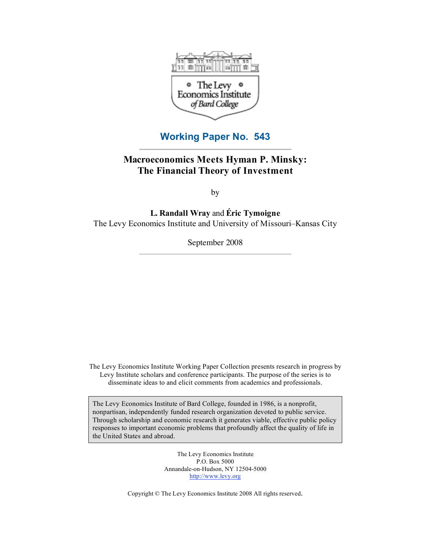

# **Working Paper No. 543**

### **Macroeconomics Meets Hyman P. Minsky: The Financial Theory of Investment**

by

**L. Randall Wray** and **Éric Tymoigne** The Levy Economics Institute and University of Missouri–Kansas City

September 2008

The Levy Economics Institute Working Paper Collection presents research in progress by Levy Institute scholars and conference participants. The purpose of the series is to disseminate ideas to and elicit comments from academics and professionals.

The Levy Economics Institute of Bard College, founded in 1986, is a nonprofit, nonpartisan, independently funded research organization devoted to public service. Through scholarship and economic research it generates viable, effective public policy responses to important economic problems that profoundly affect the quality of life in the United States and abroad.

> The Levy Economics Institute P.O. Box 5000 Annandale-on-Hudson, NY 12504-5000 http://www.levy.org

Copyright © The Levy Economics Institute 2008 All rights reserved.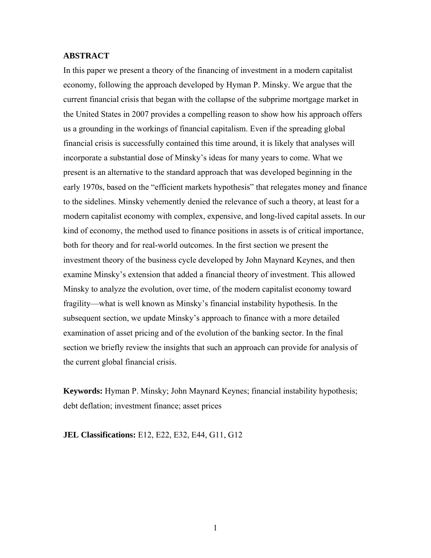### **ABSTRACT**

In this paper we present a theory of the financing of investment in a modern capitalist economy, following the approach developed by Hyman P. Minsky. We argue that the current financial crisis that began with the collapse of the subprime mortgage market in the United States in 2007 provides a compelling reason to show how his approach offers us a grounding in the workings of financial capitalism. Even if the spreading global financial crisis is successfully contained this time around, it is likely that analyses will incorporate a substantial dose of Minsky's ideas for many years to come. What we present is an alternative to the standard approach that was developed beginning in the early 1970s, based on the "efficient markets hypothesis" that relegates money and finance to the sidelines. Minsky vehemently denied the relevance of such a theory, at least for a modern capitalist economy with complex, expensive, and long-lived capital assets. In our kind of economy, the method used to finance positions in assets is of critical importance, both for theory and for real-world outcomes. In the first section we present the investment theory of the business cycle developed by John Maynard Keynes, and then examine Minsky's extension that added a financial theory of investment. This allowed Minsky to analyze the evolution, over time, of the modern capitalist economy toward fragility—what is well known as Minsky's financial instability hypothesis. In the subsequent section, we update Minsky's approach to finance with a more detailed examination of asset pricing and of the evolution of the banking sector. In the final section we briefly review the insights that such an approach can provide for analysis of the current global financial crisis.

**Keywords:** Hyman P. Minsky; John Maynard Keynes; financial instability hypothesis; debt deflation; investment finance; asset prices

**JEL Classifications:** E12, E22, E32, E44, G11, G12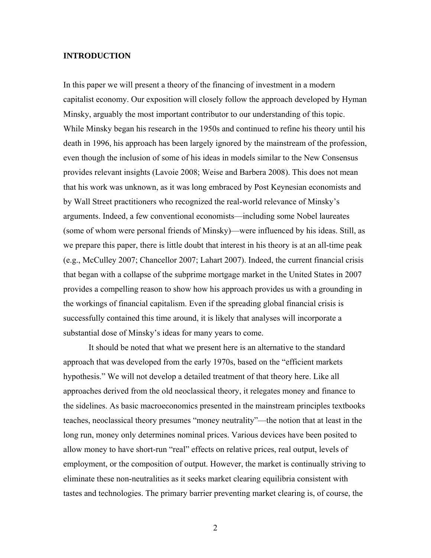### **INTRODUCTION**

In this paper we will present a theory of the financing of investment in a modern capitalist economy. Our exposition will closely follow the approach developed by Hyman Minsky, arguably the most important contributor to our understanding of this topic. While Minsky began his research in the 1950s and continued to refine his theory until his death in 1996, his approach has been largely ignored by the mainstream of the profession, even though the inclusion of some of his ideas in models similar to the New Consensus provides relevant insights (Lavoie 2008; Weise and Barbera 2008). This does not mean that his work was unknown, as it was long embraced by Post Keynesian economists and by Wall Street practitioners who recognized the real-world relevance of Minsky's arguments. Indeed, a few conventional economists—including some Nobel laureates (some of whom were personal friends of Minsky)—were influenced by his ideas. Still, as we prepare this paper, there is little doubt that interest in his theory is at an all-time peak (e.g., McCulley 2007; Chancellor 2007; Lahart 2007). Indeed, the current financial crisis that began with a collapse of the subprime mortgage market in the United States in 2007 provides a compelling reason to show how his approach provides us with a grounding in the workings of financial capitalism. Even if the spreading global financial crisis is successfully contained this time around, it is likely that analyses will incorporate a substantial dose of Minsky's ideas for many years to come.

 It should be noted that what we present here is an alternative to the standard approach that was developed from the early 1970s, based on the "efficient markets hypothesis." We will not develop a detailed treatment of that theory here. Like all approaches derived from the old neoclassical theory, it relegates money and finance to the sidelines. As basic macroeconomics presented in the mainstream principles textbooks teaches, neoclassical theory presumes "money neutrality"—the notion that at least in the long run, money only determines nominal prices. Various devices have been posited to allow money to have short-run "real" effects on relative prices, real output, levels of employment, or the composition of output. However, the market is continually striving to eliminate these non-neutralities as it seeks market clearing equilibria consistent with tastes and technologies. The primary barrier preventing market clearing is, of course, the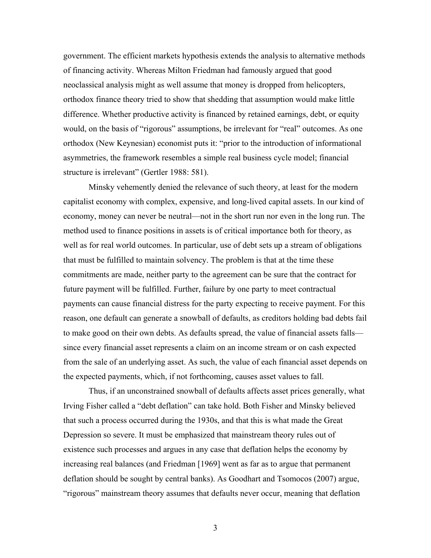government. The efficient markets hypothesis extends the analysis to alternative methods of financing activity. Whereas Milton Friedman had famously argued that good neoclassical analysis might as well assume that money is dropped from helicopters, orthodox finance theory tried to show that shedding that assumption would make little difference. Whether productive activity is financed by retained earnings, debt, or equity would, on the basis of "rigorous" assumptions, be irrelevant for "real" outcomes. As one orthodox (New Keynesian) economist puts it: "prior to the introduction of informational asymmetries, the framework resembles a simple real business cycle model; financial structure is irrelevant" (Gertler 1988: 581).

 Minsky vehemently denied the relevance of such theory, at least for the modern capitalist economy with complex, expensive, and long-lived capital assets. In our kind of economy, money can never be neutral—not in the short run nor even in the long run. The method used to finance positions in assets is of critical importance both for theory, as well as for real world outcomes. In particular, use of debt sets up a stream of obligations that must be fulfilled to maintain solvency. The problem is that at the time these commitments are made, neither party to the agreement can be sure that the contract for future payment will be fulfilled. Further, failure by one party to meet contractual payments can cause financial distress for the party expecting to receive payment. For this reason, one default can generate a snowball of defaults, as creditors holding bad debts fail to make good on their own debts. As defaults spread, the value of financial assets falls since every financial asset represents a claim on an income stream or on cash expected from the sale of an underlying asset. As such, the value of each financial asset depends on the expected payments, which, if not forthcoming, causes asset values to fall.

 Thus, if an unconstrained snowball of defaults affects asset prices generally, what Irving Fisher called a "debt deflation" can take hold. Both Fisher and Minsky believed that such a process occurred during the 1930s, and that this is what made the Great Depression so severe. It must be emphasized that mainstream theory rules out of existence such processes and argues in any case that deflation helps the economy by increasing real balances (and Friedman [1969] went as far as to argue that permanent deflation should be sought by central banks). As Goodhart and Tsomocos (2007) argue, "rigorous" mainstream theory assumes that defaults never occur, meaning that deflation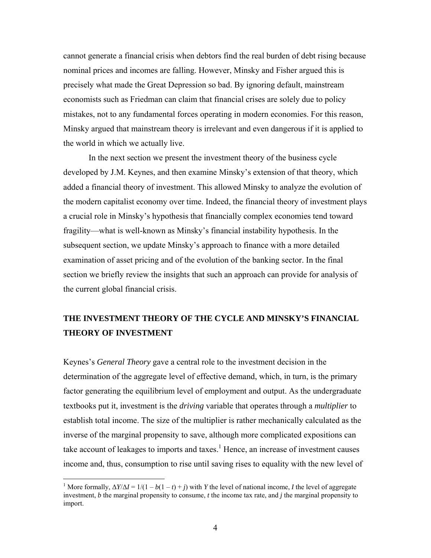cannot generate a financial crisis when debtors find the real burden of debt rising because nominal prices and incomes are falling. However, Minsky and Fisher argued this is precisely what made the Great Depression so bad. By ignoring default, mainstream economists such as Friedman can claim that financial crises are solely due to policy mistakes, not to any fundamental forces operating in modern economies. For this reason, Minsky argued that mainstream theory is irrelevant and even dangerous if it is applied to the world in which we actually live.

 In the next section we present the investment theory of the business cycle developed by J.M. Keynes, and then examine Minsky's extension of that theory, which added a financial theory of investment. This allowed Minsky to analyze the evolution of the modern capitalist economy over time. Indeed, the financial theory of investment plays a crucial role in Minsky's hypothesis that financially complex economies tend toward fragility—what is well-known as Minsky's financial instability hypothesis. In the subsequent section, we update Minsky's approach to finance with a more detailed examination of asset pricing and of the evolution of the banking sector. In the final section we briefly review the insights that such an approach can provide for analysis of the current global financial crisis.

# **THE INVESTMENT THEORY OF THE CYCLE AND MINSKY'S FINANCIAL THEORY OF INVESTMENT**

Keynes's *General Theory* gave a central role to the investment decision in the determination of the aggregate level of effective demand, which, in turn, is the primary factor generating the equilibrium level of employment and output. As the undergraduate textbooks put it, investment is the *driving* variable that operates through a *multiplier* to establish total income. The size of the multiplier is rather mechanically calculated as the inverse of the marginal propensity to save, although more complicated expositions can take account of leakages to imports and taxes.<sup>1</sup> Hence, an increase of investment causes income and, thus, consumption to rise until saving rises to equality with the new level of

<sup>&</sup>lt;sup>1</sup> More formally,  $\Delta Y/\Delta I = 1/(1 - b(1 - t) + j)$  with *Y* the level of national income, *I* the level of aggregate investment, *b* the marginal propensity to consume, *t* the income tax rate, and *j* the marginal propensity to import.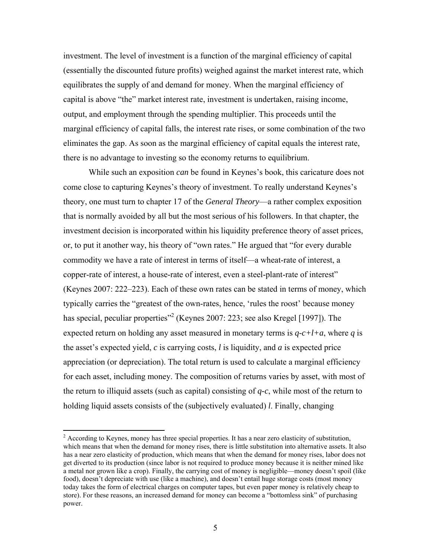investment. The level of investment is a function of the marginal efficiency of capital (essentially the discounted future profits) weighed against the market interest rate, which equilibrates the supply of and demand for money. When the marginal efficiency of capital is above "the" market interest rate, investment is undertaken, raising income, output, and employment through the spending multiplier. This proceeds until the marginal efficiency of capital falls, the interest rate rises, or some combination of the two eliminates the gap. As soon as the marginal efficiency of capital equals the interest rate, there is no advantage to investing so the economy returns to equilibrium.

 While such an exposition *can* be found in Keynes's book, this caricature does not come close to capturing Keynes's theory of investment. To really understand Keynes's theory, one must turn to chapter 17 of the *General Theory*—a rather complex exposition that is normally avoided by all but the most serious of his followers. In that chapter, the investment decision is incorporated within his liquidity preference theory of asset prices, or, to put it another way, his theory of "own rates." He argued that "for every durable commodity we have a rate of interest in terms of itself—a wheat-rate of interest, a copper-rate of interest, a house-rate of interest, even a steel-plant-rate of interest" (Keynes 2007: 222–223). Each of these own rates can be stated in terms of money, which typically carries the "greatest of the own-rates, hence, 'rules the roost' because money has special, peculiar properties"<sup>2</sup> (Keynes 2007: 223; see also Kregel [1997]). The expected return on holding any asset measured in monetary terms is  $q-c+l+a$ , where *q* is the asset's expected yield, *c* is carrying costs, *l* is liquidity, and *a* is expected price appreciation (or depreciation). The total return is used to calculate a marginal efficiency for each asset, including money. The composition of returns varies by asset, with most of the return to illiquid assets (such as capital) consisting of *q-c*, while most of the return to holding liquid assets consists of the (subjectively evaluated) *l*. Finally, changing

<sup>&</sup>lt;sup>2</sup> According to Keynes, money has three special properties. It has a near zero elasticity of substitution, which means that when the demand for money rises, there is little substitution into alternative assets. It also has a near zero elasticity of production, which means that when the demand for money rises, labor does not get diverted to its production (since labor is not required to produce money because it is neither mined like a metal nor grown like a crop). Finally, the carrying cost of money is negligible—money doesn't spoil (like food), doesn't depreciate with use (like a machine), and doesn't entail huge storage costs (most money today takes the form of electrical charges on computer tapes, but even paper money is relatively cheap to store). For these reasons, an increased demand for money can become a "bottomless sink" of purchasing power.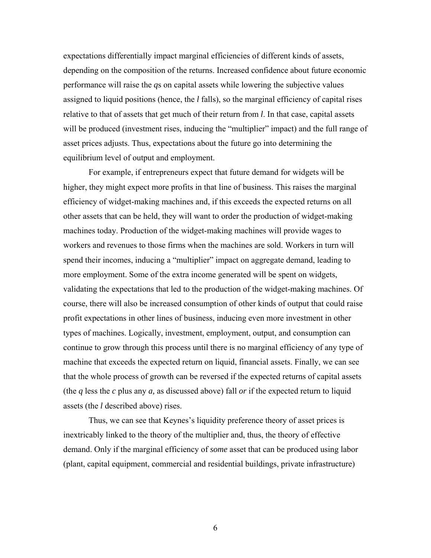expectations differentially impact marginal efficiencies of different kinds of assets, depending on the composition of the returns. Increased confidence about future economic performance will raise the *q*s on capital assets while lowering the subjective values assigned to liquid positions (hence, the *l* falls), so the marginal efficiency of capital rises relative to that of assets that get much of their return from *l*. In that case, capital assets will be produced (investment rises, inducing the "multiplier" impact) and the full range of asset prices adjusts. Thus, expectations about the future go into determining the equilibrium level of output and employment.

 For example, if entrepreneurs expect that future demand for widgets will be higher, they might expect more profits in that line of business. This raises the marginal efficiency of widget-making machines and, if this exceeds the expected returns on all other assets that can be held, they will want to order the production of widget-making machines today. Production of the widget-making machines will provide wages to workers and revenues to those firms when the machines are sold. Workers in turn will spend their incomes, inducing a "multiplier" impact on aggregate demand, leading to more employment. Some of the extra income generated will be spent on widgets, validating the expectations that led to the production of the widget-making machines. Of course, there will also be increased consumption of other kinds of output that could raise profit expectations in other lines of business, inducing even more investment in other types of machines. Logically, investment, employment, output, and consumption can continue to grow through this process until there is no marginal efficiency of any type of machine that exceeds the expected return on liquid, financial assets. Finally, we can see that the whole process of growth can be reversed if the expected returns of capital assets (the *q* less the *c* plus any *a,* as discussed above) fall *or* if the expected return to liquid assets (the *l* described above) rises.

 Thus, we can see that Keynes's liquidity preference theory of asset prices is inextricably linked to the theory of the multiplier and, thus, the theory of effective demand. Only if the marginal efficiency of *some* asset that can be produced using labor (plant, capital equipment, commercial and residential buildings, private infrastructure)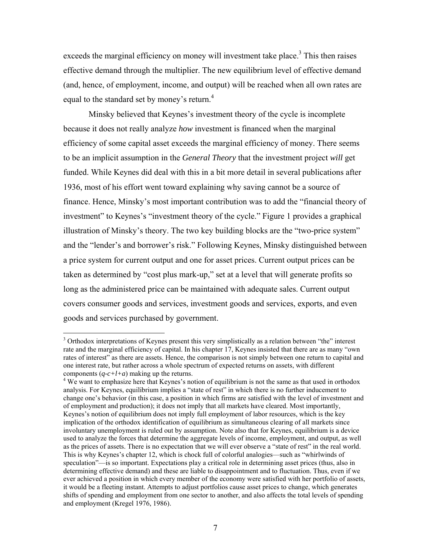exceeds the marginal efficiency on money will investment take place.<sup>3</sup> This then raises effective demand through the multiplier. The new equilibrium level of effective demand (and, hence, of employment, income, and output) will be reached when all own rates are equal to the standard set by money's return.<sup>4</sup>

 Minsky believed that Keynes's investment theory of the cycle is incomplete because it does not really analyze *how* investment is financed when the marginal efficiency of some capital asset exceeds the marginal efficiency of money. There seems to be an implicit assumption in the *General Theory* that the investment project *will* get funded. While Keynes did deal with this in a bit more detail in several publications after 1936, most of his effort went toward explaining why saving cannot be a source of finance. Hence, Minsky's most important contribution was to add the "financial theory of investment" to Keynes's "investment theory of the cycle." Figure 1 provides a graphical illustration of Minsky's theory. The two key building blocks are the "two-price system" and the "lender's and borrower's risk." Following Keynes, Minsky distinguished between a price system for current output and one for asset prices. Current output prices can be taken as determined by "cost plus mark-up," set at a level that will generate profits so long as the administered price can be maintained with adequate sales. Current output covers consumer goods and services, investment goods and services, exports, and even goods and services purchased by government.

<sup>&</sup>lt;sup>3</sup> Orthodox interpretations of Keynes present this very simplistically as a relation between "the" interest rate and the marginal efficiency of capital. In his chapter 17, Keynes insisted that there are as many "own rates of interest" as there are assets. Hence, the comparison is not simply between one return to capital and one interest rate, but rather across a whole spectrum of expected returns on assets, with different components  $(q-c+l+a)$  making up the returns.

<sup>&</sup>lt;sup>4</sup> We want to emphasize here that Keynes's notion of equilibrium is not the same as that used in orthodox analysis. For Keynes, equilibrium implies a "state of rest" in which there is no further inducement to change one's behavior (in this case, a position in which firms are satisfied with the level of investment and of employment and production); it does not imply that all markets have cleared. Most importantly, Keynes's notion of equilibrium does not imply full employment of labor resources, which is the key implication of the orthodox identification of equilibrium as simultaneous clearing of all markets since involuntary unemployment is ruled out by assumption. Note also that for Keynes, equilibrium is a device used to analyze the forces that determine the aggregate levels of income, employment, and output, as well as the prices of assets. There is no expectation that we will ever observe a "state of rest" in the real world. This is why Keynes's chapter 12, which is chock full of colorful analogies—such as "whirlwinds of speculation"—is so important. Expectations play a critical role in determining asset prices (thus, also in determining effective demand) and these are liable to disappointment and to fluctuation. Thus, even if we ever achieved a position in which every member of the economy were satisfied with her portfolio of assets, it would be a fleeting instant. Attempts to adjust portfolios cause asset prices to change, which generates shifts of spending and employment from one sector to another, and also affects the total levels of spending and employment (Kregel 1976, 1986).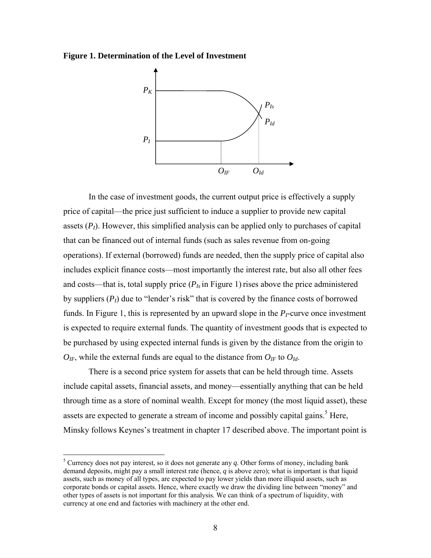#### **Figure 1. Determination of the Level of Investment**



 In the case of investment goods, the current output price is effectively a supply price of capital—the price just sufficient to induce a supplier to provide new capital assets  $(P_l)$ . However, this simplified analysis can be applied only to purchases of capital that can be financed out of internal funds (such as sales revenue from on-going operations). If external (borrowed) funds are needed, then the supply price of capital also includes explicit finance costs—most importantly the interest rate, but also all other fees and costs—that is, total supply price  $(P<sub>Is</sub>$  in Figure 1) rises above the price administered by suppliers  $(P_I)$  due to "lender's risk" that is covered by the finance costs of borrowed funds. In Figure 1, this is represented by an upward slope in the  $P_I$ -curve once investment is expected to require external funds. The quantity of investment goods that is expected to be purchased by using expected internal funds is given by the distance from the origin to  $O_{IF}$ , while the external funds are equal to the distance from  $O_{IF}$  to  $O_{Id}$ .

 There is a second price system for assets that can be held through time. Assets include capital assets, financial assets, and money—essentially anything that can be held through time as a store of nominal wealth. Except for money (the most liquid asset), these assets are expected to generate a stream of income and possibly capital gains.<sup>5</sup> Here, Minsky follows Keynes's treatment in chapter 17 described above. The important point is

 $<sup>5</sup>$  Currency does not pay interest, so it does not generate any  $q$ . Other forms of money, including bank</sup> demand deposits, might pay a small interest rate (hence, *q* is above zero); what is important is that liquid assets, such as money of all types, are expected to pay lower yields than more illiquid assets, such as corporate bonds or capital assets. Hence, where exactly we draw the dividing line between "money" and other types of assets is not important for this analysis. We can think of a spectrum of liquidity, with currency at one end and factories with machinery at the other end.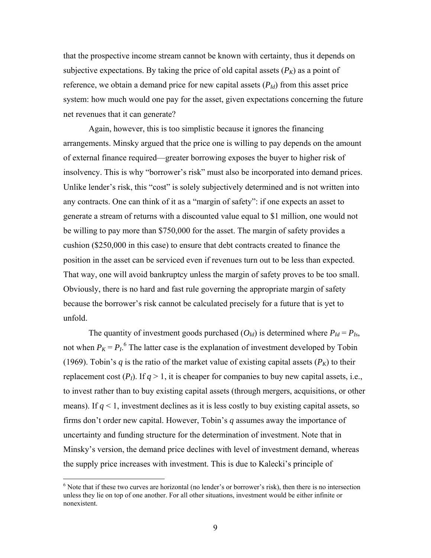that the prospective income stream cannot be known with certainty, thus it depends on subjective expectations. By taking the price of old capital assets  $(P_K)$  as a point of reference, we obtain a demand price for new capital assets  $(P_{Id})$  from this asset price system: how much would one pay for the asset, given expectations concerning the future net revenues that it can generate?

 Again, however, this is too simplistic because it ignores the financing arrangements. Minsky argued that the price one is willing to pay depends on the amount of external finance required—greater borrowing exposes the buyer to higher risk of insolvency. This is why "borrower's risk" must also be incorporated into demand prices. Unlike lender's risk, this "cost" is solely subjectively determined and is not written into any contracts. One can think of it as a "margin of safety": if one expects an asset to generate a stream of returns with a discounted value equal to \$1 million, one would not be willing to pay more than \$750,000 for the asset. The margin of safety provides a cushion (\$250,000 in this case) to ensure that debt contracts created to finance the position in the asset can be serviced even if revenues turn out to be less than expected. That way, one will avoid bankruptcy unless the margin of safety proves to be too small. Obviously, there is no hard and fast rule governing the appropriate margin of safety because the borrower's risk cannot be calculated precisely for a future that is yet to unfold.

The quantity of investment goods purchased  $(O_{Id})$  is determined where  $P_{Id} = P_{Is}$ , not when  $P_K = P_L^6$ . The latter case is the explanation of investment developed by Tobin (1969). Tobin's *q* is the ratio of the market value of existing capital assets ( $P_K$ ) to their replacement cost  $(P_I)$ . If  $q > 1$ , it is cheaper for companies to buy new capital assets, i.e., to invest rather than to buy existing capital assets (through mergers, acquisitions, or other means). If  $q < 1$ , investment declines as it is less costly to buy existing capital assets, so firms don't order new capital. However, Tobin's *q* assumes away the importance of uncertainty and funding structure for the determination of investment. Note that in Minsky's version, the demand price declines with level of investment demand, whereas the supply price increases with investment. This is due to Kalecki's principle of

 $\overline{a}$ 

<sup>&</sup>lt;sup>6</sup> Note that if these two curves are horizontal (no lender's or borrower's risk), then there is no intersection unless they lie on top of one another. For all other situations, investment would be either infinite or nonexistent.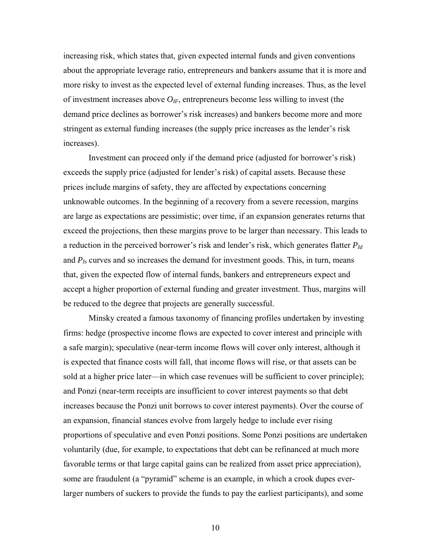increasing risk, which states that, given expected internal funds and given conventions about the appropriate leverage ratio, entrepreneurs and bankers assume that it is more and more risky to invest as the expected level of external funding increases. Thus, as the level of investment increases above  $O_{IF}$ , entrepreneurs become less willing to invest (the demand price declines as borrower's risk increases) and bankers become more and more stringent as external funding increases (the supply price increases as the lender's risk increases).

 Investment can proceed only if the demand price (adjusted for borrower's risk) exceeds the supply price (adjusted for lender's risk) of capital assets. Because these prices include margins of safety, they are affected by expectations concerning unknowable outcomes. In the beginning of a recovery from a severe recession, margins are large as expectations are pessimistic; over time, if an expansion generates returns that exceed the projections, then these margins prove to be larger than necessary. This leads to a reduction in the perceived borrower's risk and lender's risk, which generates flatter *PId* and *PIs* curves and so increases the demand for investment goods. This, in turn, means that, given the expected flow of internal funds, bankers and entrepreneurs expect and accept a higher proportion of external funding and greater investment. Thus, margins will be reduced to the degree that projects are generally successful.

 Minsky created a famous taxonomy of financing profiles undertaken by investing firms: hedge (prospective income flows are expected to cover interest and principle with a safe margin); speculative (near-term income flows will cover only interest, although it is expected that finance costs will fall, that income flows will rise, or that assets can be sold at a higher price later—in which case revenues will be sufficient to cover principle); and Ponzi (near-term receipts are insufficient to cover interest payments so that debt increases because the Ponzi unit borrows to cover interest payments). Over the course of an expansion, financial stances evolve from largely hedge to include ever rising proportions of speculative and even Ponzi positions. Some Ponzi positions are undertaken voluntarily (due, for example, to expectations that debt can be refinanced at much more favorable terms or that large capital gains can be realized from asset price appreciation), some are fraudulent (a "pyramid" scheme is an example, in which a crook dupes everlarger numbers of suckers to provide the funds to pay the earliest participants), and some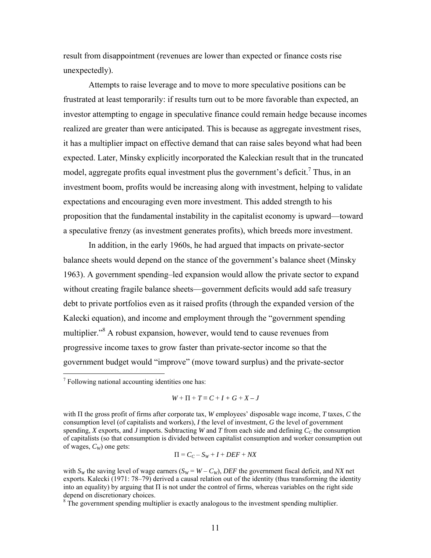result from disappointment (revenues are lower than expected or finance costs rise unexpectedly).

 Attempts to raise leverage and to move to more speculative positions can be frustrated at least temporarily: if results turn out to be more favorable than expected, an investor attempting to engage in speculative finance could remain hedge because incomes realized are greater than were anticipated. This is because as aggregate investment rises, it has a multiplier impact on effective demand that can raise sales beyond what had been expected. Later, Minsky explicitly incorporated the Kaleckian result that in the truncated model, aggregate profits equal investment plus the government's deficit.<sup>7</sup> Thus, in an investment boom, profits would be increasing along with investment, helping to validate expectations and encouraging even more investment. This added strength to his proposition that the fundamental instability in the capitalist economy is upward—toward a speculative frenzy (as investment generates profits), which breeds more investment.

 In addition, in the early 1960s, he had argued that impacts on private-sector balance sheets would depend on the stance of the government's balance sheet (Minsky 1963). A government spending–led expansion would allow the private sector to expand without creating fragile balance sheets—government deficits would add safe treasury debt to private portfolios even as it raised profits (through the expanded version of the Kalecki equation), and income and employment through the "government spending multiplier."<sup>8</sup> A robust expansion, however, would tend to cause revenues from progressive income taxes to grow faster than private-sector income so that the government budget would "improve" (move toward surplus) and the private-sector

$$
W + \Pi + T \equiv C + I + G + X - J
$$

$$
\Pi = C_C - S_W + I + DEF + NX
$$

 7 Following national accounting identities one has:

with Π the gross profit of firms after corporate tax, *W* employees' disposable wage income, *T* taxes, *C* the consumption level (of capitalists and workers), *I* the level of investment, *G* the level of government spending, *X* exports, and *J* imports. Subtracting *W* and *T* from each side and defining  $C_c$  the consumption of capitalists (so that consumption is divided between capitalist consumption and worker consumption out of wages, *CW*) one gets:

with  $S_W$  the saving level of wage earners  $(S_W = W - C_W)$ , *DEF* the government fiscal deficit, and *NX* net exports. Kalecki (1971: 78–79) derived a causal relation out of the identity (thus transforming the identity into an equality) by arguing that  $\Pi$  is not under the control of firms, whereas variables on the right side depend on discretionary choices.

 $8 \text{ The government spending multiplier is exactly analogous to the investment spending multiplier.}$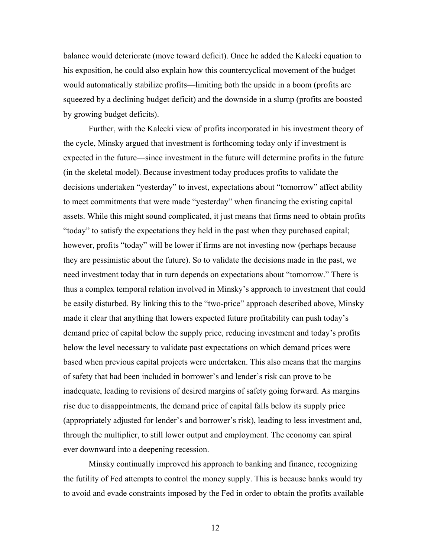balance would deteriorate (move toward deficit). Once he added the Kalecki equation to his exposition, he could also explain how this countercyclical movement of the budget would automatically stabilize profits—limiting both the upside in a boom (profits are squeezed by a declining budget deficit) and the downside in a slump (profits are boosted by growing budget deficits).

 Further, with the Kalecki view of profits incorporated in his investment theory of the cycle, Minsky argued that investment is forthcoming today only if investment is expected in the future—since investment in the future will determine profits in the future (in the skeletal model). Because investment today produces profits to validate the decisions undertaken "yesterday" to invest, expectations about "tomorrow" affect ability to meet commitments that were made "yesterday" when financing the existing capital assets. While this might sound complicated, it just means that firms need to obtain profits "today" to satisfy the expectations they held in the past when they purchased capital; however, profits "today" will be lower if firms are not investing now (perhaps because they are pessimistic about the future). So to validate the decisions made in the past, we need investment today that in turn depends on expectations about "tomorrow." There is thus a complex temporal relation involved in Minsky's approach to investment that could be easily disturbed. By linking this to the "two-price" approach described above, Minsky made it clear that anything that lowers expected future profitability can push today's demand price of capital below the supply price, reducing investment and today's profits below the level necessary to validate past expectations on which demand prices were based when previous capital projects were undertaken. This also means that the margins of safety that had been included in borrower's and lender's risk can prove to be inadequate, leading to revisions of desired margins of safety going forward. As margins rise due to disappointments, the demand price of capital falls below its supply price (appropriately adjusted for lender's and borrower's risk), leading to less investment and, through the multiplier, to still lower output and employment. The economy can spiral ever downward into a deepening recession.

 Minsky continually improved his approach to banking and finance, recognizing the futility of Fed attempts to control the money supply. This is because banks would try to avoid and evade constraints imposed by the Fed in order to obtain the profits available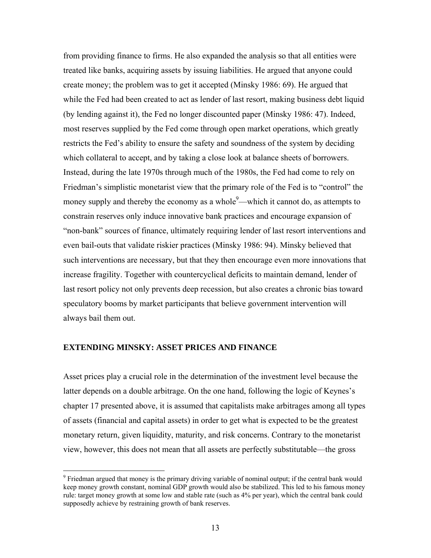from providing finance to firms. He also expanded the analysis so that all entities were treated like banks, acquiring assets by issuing liabilities. He argued that anyone could create money; the problem was to get it accepted (Minsky 1986: 69). He argued that while the Fed had been created to act as lender of last resort, making business debt liquid (by lending against it), the Fed no longer discounted paper (Minsky 1986: 47). Indeed, most reserves supplied by the Fed come through open market operations, which greatly restricts the Fed's ability to ensure the safety and soundness of the system by deciding which collateral to accept, and by taking a close look at balance sheets of borrowers. Instead, during the late 1970s through much of the 1980s, the Fed had come to rely on Friedman's simplistic monetarist view that the primary role of the Fed is to "control" the money supply and thereby the economy as a whole<sup>9</sup>—which it cannot do, as attempts to constrain reserves only induce innovative bank practices and encourage expansion of "non-bank" sources of finance, ultimately requiring lender of last resort interventions and even bail-outs that validate riskier practices (Minsky 1986: 94). Minsky believed that such interventions are necessary, but that they then encourage even more innovations that increase fragility. Together with countercyclical deficits to maintain demand, lender of last resort policy not only prevents deep recession, but also creates a chronic bias toward speculatory booms by market participants that believe government intervention will always bail them out.

### **EXTENDING MINSKY: ASSET PRICES AND FINANCE**

 $\overline{a}$ 

Asset prices play a crucial role in the determination of the investment level because the latter depends on a double arbitrage. On the one hand, following the logic of Keynes's chapter 17 presented above, it is assumed that capitalists make arbitrages among all types of assets (financial and capital assets) in order to get what is expected to be the greatest monetary return, given liquidity, maturity, and risk concerns. Contrary to the monetarist view, however, this does not mean that all assets are perfectly substitutable—the gross

 $9$  Friedman argued that money is the primary driving variable of nominal output; if the central bank would keep money growth constant, nominal GDP growth would also be stabilized. This led to his famous money rule: target money growth at some low and stable rate (such as 4% per year), which the central bank could supposedly achieve by restraining growth of bank reserves.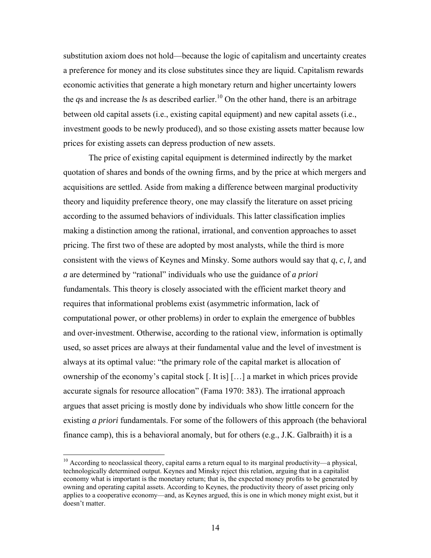substitution axiom does not hold—because the logic of capitalism and uncertainty creates a preference for money and its close substitutes since they are liquid. Capitalism rewards economic activities that generate a high monetary return and higher uncertainty lowers the  $q_s$  and increase the *ls* as described earlier.<sup>10</sup> On the other hand, there is an arbitrage between old capital assets (i.e., existing capital equipment) and new capital assets (i.e., investment goods to be newly produced), and so those existing assets matter because low prices for existing assets can depress production of new assets.

 The price of existing capital equipment is determined indirectly by the market quotation of shares and bonds of the owning firms, and by the price at which mergers and acquisitions are settled. Aside from making a difference between marginal productivity theory and liquidity preference theory, one may classify the literature on asset pricing according to the assumed behaviors of individuals. This latter classification implies making a distinction among the rational, irrational, and convention approaches to asset pricing. The first two of these are adopted by most analysts, while the third is more consistent with the views of Keynes and Minsky. Some authors would say that *q*, *c*, *l,* and *a* are determined by "rational" individuals who use the guidance of *a priori*  fundamentals. This theory is closely associated with the efficient market theory and requires that informational problems exist (asymmetric information, lack of computational power, or other problems) in order to explain the emergence of bubbles and over-investment. Otherwise, according to the rational view, information is optimally used, so asset prices are always at their fundamental value and the level of investment is always at its optimal value: "the primary role of the capital market is allocation of ownership of the economy's capital stock [. It is] […] a market in which prices provide accurate signals for resource allocation" (Fama 1970: 383). The irrational approach argues that asset pricing is mostly done by individuals who show little concern for the existing *a priori* fundamentals. For some of the followers of this approach (the behavioral finance camp), this is a behavioral anomaly, but for others (e.g., J.K. Galbraith) it is a

 $\overline{a}$ 

 $10$  According to neoclassical theory, capital earns a return equal to its marginal productivity—a physical, technologically determined output. Keynes and Minsky reject this relation, arguing that in a capitalist economy what is important is the monetary return; that is, the expected money profits to be generated by owning and operating capital assets. According to Keynes, the productivity theory of asset pricing only applies to a cooperative economy—and, as Keynes argued, this is one in which money might exist, but it doesn't matter.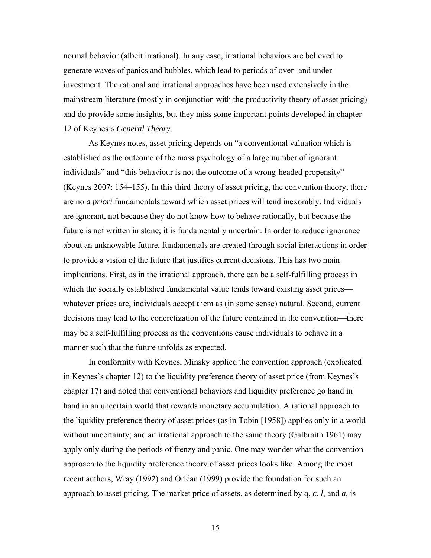normal behavior (albeit irrational). In any case, irrational behaviors are believed to generate waves of panics and bubbles, which lead to periods of over- and underinvestment. The rational and irrational approaches have been used extensively in the mainstream literature (mostly in conjunction with the productivity theory of asset pricing) and do provide some insights, but they miss some important points developed in chapter 12 of Keynes's *General Theory*.

 As Keynes notes, asset pricing depends on "a conventional valuation which is established as the outcome of the mass psychology of a large number of ignorant individuals" and "this behaviour is not the outcome of a wrong-headed propensity" (Keynes 2007: 154–155). In this third theory of asset pricing, the convention theory, there are no *a priori* fundamentals toward which asset prices will tend inexorably. Individuals are ignorant, not because they do not know how to behave rationally, but because the future is not written in stone; it is fundamentally uncertain. In order to reduce ignorance about an unknowable future, fundamentals are created through social interactions in order to provide a vision of the future that justifies current decisions. This has two main implications. First, as in the irrational approach, there can be a self-fulfilling process in which the socially established fundamental value tends toward existing asset prices whatever prices are, individuals accept them as (in some sense) natural. Second, current decisions may lead to the concretization of the future contained in the convention—there may be a self-fulfilling process as the conventions cause individuals to behave in a manner such that the future unfolds as expected.

 In conformity with Keynes, Minsky applied the convention approach (explicated in Keynes's chapter 12) to the liquidity preference theory of asset price (from Keynes's chapter 17) and noted that conventional behaviors and liquidity preference go hand in hand in an uncertain world that rewards monetary accumulation. A rational approach to the liquidity preference theory of asset prices (as in Tobin [1958]) applies only in a world without uncertainty; and an irrational approach to the same theory (Galbraith 1961) may apply only during the periods of frenzy and panic. One may wonder what the convention approach to the liquidity preference theory of asset prices looks like. Among the most recent authors, Wray (1992) and Orléan (1999) provide the foundation for such an approach to asset pricing. The market price of assets, as determined by *q*, *c*, *l*, and *a*, is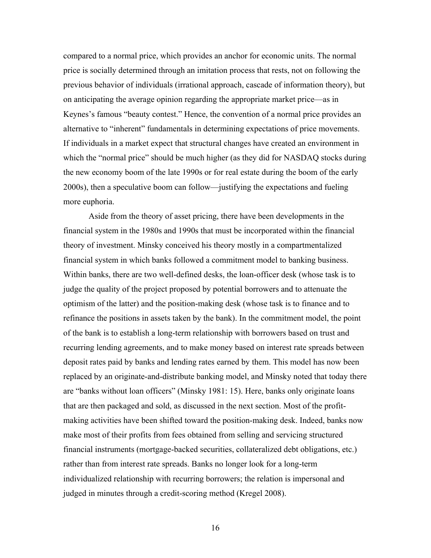compared to a normal price, which provides an anchor for economic units. The normal price is socially determined through an imitation process that rests, not on following the previous behavior of individuals (irrational approach, cascade of information theory), but on anticipating the average opinion regarding the appropriate market price—as in Keynes's famous "beauty contest." Hence, the convention of a normal price provides an alternative to "inherent" fundamentals in determining expectations of price movements. If individuals in a market expect that structural changes have created an environment in which the "normal price" should be much higher (as they did for NASDAQ stocks during the new economy boom of the late 1990s or for real estate during the boom of the early 2000s), then a speculative boom can follow—justifying the expectations and fueling more euphoria.

 Aside from the theory of asset pricing, there have been developments in the financial system in the 1980s and 1990s that must be incorporated within the financial theory of investment. Minsky conceived his theory mostly in a compartmentalized financial system in which banks followed a commitment model to banking business. Within banks, there are two well-defined desks, the loan-officer desk (whose task is to judge the quality of the project proposed by potential borrowers and to attenuate the optimism of the latter) and the position-making desk (whose task is to finance and to refinance the positions in assets taken by the bank). In the commitment model, the point of the bank is to establish a long-term relationship with borrowers based on trust and recurring lending agreements, and to make money based on interest rate spreads between deposit rates paid by banks and lending rates earned by them. This model has now been replaced by an originate-and-distribute banking model, and Minsky noted that today there are "banks without loan officers" (Minsky 1981: 15). Here, banks only originate loans that are then packaged and sold, as discussed in the next section. Most of the profitmaking activities have been shifted toward the position-making desk. Indeed, banks now make most of their profits from fees obtained from selling and servicing structured financial instruments (mortgage-backed securities, collateralized debt obligations, etc.) rather than from interest rate spreads. Banks no longer look for a long-term individualized relationship with recurring borrowers; the relation is impersonal and judged in minutes through a credit-scoring method (Kregel 2008).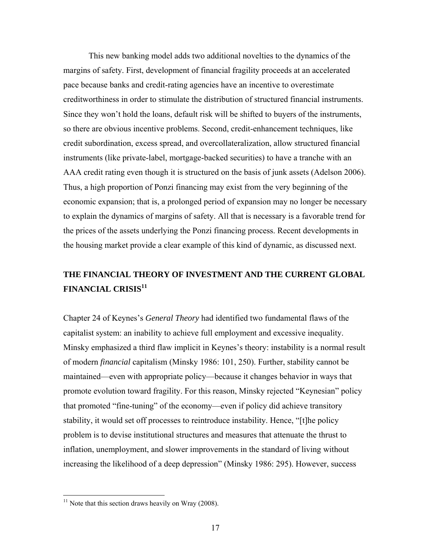This new banking model adds two additional novelties to the dynamics of the margins of safety. First, development of financial fragility proceeds at an accelerated pace because banks and credit-rating agencies have an incentive to overestimate creditworthiness in order to stimulate the distribution of structured financial instruments. Since they won't hold the loans, default risk will be shifted to buyers of the instruments, so there are obvious incentive problems. Second, credit-enhancement techniques, like credit subordination, excess spread, and overcollateralization, allow structured financial instruments (like private-label, mortgage-backed securities) to have a tranche with an AAA credit rating even though it is structured on the basis of junk assets (Adelson 2006). Thus, a high proportion of Ponzi financing may exist from the very beginning of the economic expansion; that is, a prolonged period of expansion may no longer be necessary to explain the dynamics of margins of safety. All that is necessary is a favorable trend for the prices of the assets underlying the Ponzi financing process. Recent developments in the housing market provide a clear example of this kind of dynamic, as discussed next.

## **THE FINANCIAL THEORY OF INVESTMENT AND THE CURRENT GLOBAL FINANCIAL CRISIS<sup>11</sup>**

Chapter 24 of Keynes's *General Theory* had identified two fundamental flaws of the capitalist system: an inability to achieve full employment and excessive inequality. Minsky emphasized a third flaw implicit in Keynes's theory: instability is a normal result of modern *financial* capitalism (Minsky 1986: 101, 250). Further, stability cannot be maintained—even with appropriate policy—because it changes behavior in ways that promote evolution toward fragility. For this reason, Minsky rejected "Keynesian" policy that promoted "fine-tuning" of the economy—even if policy did achieve transitory stability, it would set off processes to reintroduce instability. Hence, "[t]he policy problem is to devise institutional structures and measures that attenuate the thrust to inflation, unemployment, and slower improvements in the standard of living without increasing the likelihood of a deep depression" (Minsky 1986: 295). However, success

 $\overline{a}$ 

 $11$  Note that this section draws heavily on Wray (2008).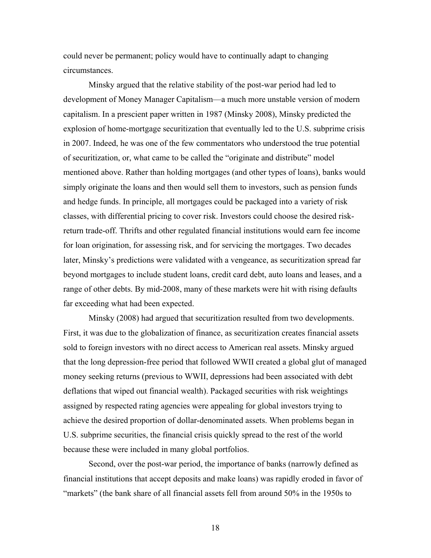could never be permanent; policy would have to continually adapt to changing circumstances.

 Minsky argued that the relative stability of the post-war period had led to development of Money Manager Capitalism—a much more unstable version of modern capitalism. In a prescient paper written in 1987 (Minsky 2008), Minsky predicted the explosion of home-mortgage securitization that eventually led to the U.S. subprime crisis in 2007. Indeed, he was one of the few commentators who understood the true potential of securitization, or, what came to be called the "originate and distribute" model mentioned above. Rather than holding mortgages (and other types of loans), banks would simply originate the loans and then would sell them to investors, such as pension funds and hedge funds. In principle, all mortgages could be packaged into a variety of risk classes, with differential pricing to cover risk. Investors could choose the desired riskreturn trade-off. Thrifts and other regulated financial institutions would earn fee income for loan origination, for assessing risk, and for servicing the mortgages. Two decades later, Minsky's predictions were validated with a vengeance, as securitization spread far beyond mortgages to include student loans, credit card debt, auto loans and leases, and a range of other debts. By mid-2008, many of these markets were hit with rising defaults far exceeding what had been expected.

 Minsky (2008) had argued that securitization resulted from two developments. First, it was due to the globalization of finance, as securitization creates financial assets sold to foreign investors with no direct access to American real assets. Minsky argued that the long depression-free period that followed WWII created a global glut of managed money seeking returns (previous to WWII, depressions had been associated with debt deflations that wiped out financial wealth). Packaged securities with risk weightings assigned by respected rating agencies were appealing for global investors trying to achieve the desired proportion of dollar-denominated assets. When problems began in U.S. subprime securities, the financial crisis quickly spread to the rest of the world because these were included in many global portfolios.

 Second, over the post-war period, the importance of banks (narrowly defined as financial institutions that accept deposits and make loans) was rapidly eroded in favor of "markets" (the bank share of all financial assets fell from around 50% in the 1950s to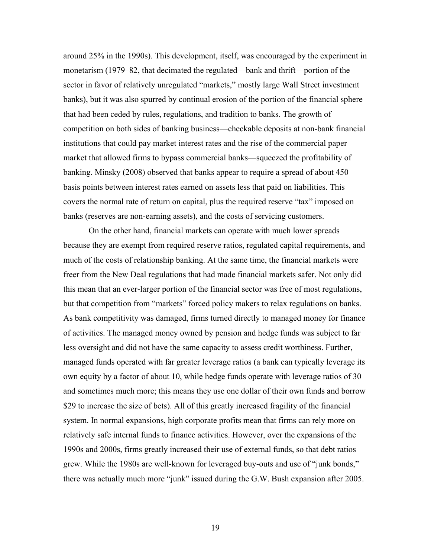around 25% in the 1990s). This development, itself, was encouraged by the experiment in monetarism (1979–82, that decimated the regulated—bank and thrift—portion of the sector in favor of relatively unregulated "markets," mostly large Wall Street investment banks), but it was also spurred by continual erosion of the portion of the financial sphere that had been ceded by rules, regulations, and tradition to banks. The growth of competition on both sides of banking business—checkable deposits at non-bank financial institutions that could pay market interest rates and the rise of the commercial paper market that allowed firms to bypass commercial banks—squeezed the profitability of banking. Minsky (2008) observed that banks appear to require a spread of about 450 basis points between interest rates earned on assets less that paid on liabilities. This covers the normal rate of return on capital, plus the required reserve "tax" imposed on banks (reserves are non-earning assets), and the costs of servicing customers.

 On the other hand, financial markets can operate with much lower spreads because they are exempt from required reserve ratios, regulated capital requirements, and much of the costs of relationship banking. At the same time, the financial markets were freer from the New Deal regulations that had made financial markets safer. Not only did this mean that an ever-larger portion of the financial sector was free of most regulations, but that competition from "markets" forced policy makers to relax regulations on banks. As bank competitivity was damaged, firms turned directly to managed money for finance of activities. The managed money owned by pension and hedge funds was subject to far less oversight and did not have the same capacity to assess credit worthiness. Further, managed funds operated with far greater leverage ratios (a bank can typically leverage its own equity by a factor of about 10, while hedge funds operate with leverage ratios of 30 and sometimes much more; this means they use one dollar of their own funds and borrow \$29 to increase the size of bets). All of this greatly increased fragility of the financial system. In normal expansions, high corporate profits mean that firms can rely more on relatively safe internal funds to finance activities. However, over the expansions of the 1990s and 2000s, firms greatly increased their use of external funds, so that debt ratios grew. While the 1980s are well-known for leveraged buy-outs and use of "junk bonds," there was actually much more "junk" issued during the G.W. Bush expansion after 2005.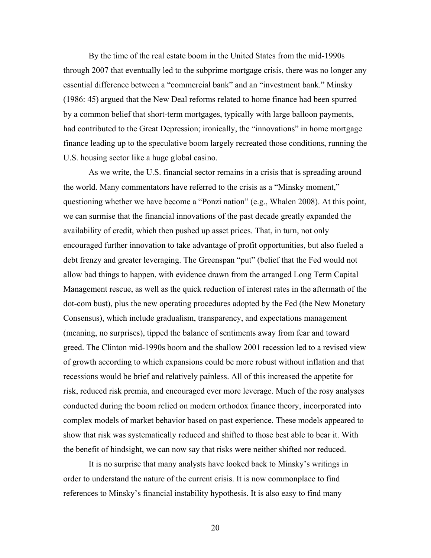By the time of the real estate boom in the United States from the mid-1990s through 2007 that eventually led to the subprime mortgage crisis, there was no longer any essential difference between a "commercial bank" and an "investment bank." Minsky (1986: 45) argued that the New Deal reforms related to home finance had been spurred by a common belief that short-term mortgages, typically with large balloon payments, had contributed to the Great Depression; ironically, the "innovations" in home mortgage finance leading up to the speculative boom largely recreated those conditions, running the U.S. housing sector like a huge global casino.

 As we write, the U.S. financial sector remains in a crisis that is spreading around the world. Many commentators have referred to the crisis as a "Minsky moment," questioning whether we have become a "Ponzi nation" (e.g., Whalen 2008). At this point, we can surmise that the financial innovations of the past decade greatly expanded the availability of credit, which then pushed up asset prices. That, in turn, not only encouraged further innovation to take advantage of profit opportunities, but also fueled a debt frenzy and greater leveraging. The Greenspan "put" (belief that the Fed would not allow bad things to happen, with evidence drawn from the arranged Long Term Capital Management rescue, as well as the quick reduction of interest rates in the aftermath of the dot-com bust), plus the new operating procedures adopted by the Fed (the New Monetary Consensus), which include gradualism, transparency, and expectations management (meaning, no surprises), tipped the balance of sentiments away from fear and toward greed. The Clinton mid-1990s boom and the shallow 2001 recession led to a revised view of growth according to which expansions could be more robust without inflation and that recessions would be brief and relatively painless. All of this increased the appetite for risk, reduced risk premia, and encouraged ever more leverage. Much of the rosy analyses conducted during the boom relied on modern orthodox finance theory, incorporated into complex models of market behavior based on past experience. These models appeared to show that risk was systematically reduced and shifted to those best able to bear it. With the benefit of hindsight, we can now say that risks were neither shifted nor reduced.

 It is no surprise that many analysts have looked back to Minsky's writings in order to understand the nature of the current crisis. It is now commonplace to find references to Minsky's financial instability hypothesis. It is also easy to find many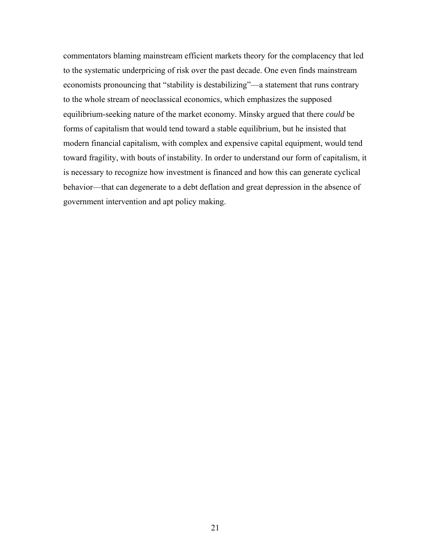commentators blaming mainstream efficient markets theory for the complacency that led to the systematic underpricing of risk over the past decade. One even finds mainstream economists pronouncing that "stability is destabilizing"—a statement that runs contrary to the whole stream of neoclassical economics, which emphasizes the supposed equilibrium-seeking nature of the market economy. Minsky argued that there *could* be forms of capitalism that would tend toward a stable equilibrium, but he insisted that modern financial capitalism, with complex and expensive capital equipment, would tend toward fragility, with bouts of instability. In order to understand our form of capitalism, it is necessary to recognize how investment is financed and how this can generate cyclical behavior—that can degenerate to a debt deflation and great depression in the absence of government intervention and apt policy making.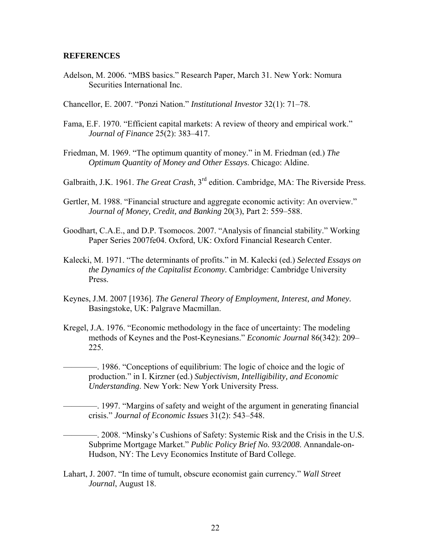#### **REFERENCES**

- Adelson, M. 2006. "MBS basics." Research Paper, March 31. New York: Nomura Securities International Inc.
- Chancellor, E. 2007. "Ponzi Nation." *Institutional Investor* 32(1): 71–78.
- Fama, E.F. 1970. "Efficient capital markets: A review of theory and empirical work." *Journal of Finance* 25(2): 383–417.
- Friedman, M. 1969. "The optimum quantity of money." in M. Friedman (ed.) *The Optimum Quantity of Money and Other Essays*. Chicago: Aldine.
- Galbraith, J.K. 1961. *The Great Crash*, 3rd edition. Cambridge, MA: The Riverside Press.
- Gertler, M. 1988. "Financial structure and aggregate economic activity: An overview." *Journal of Money, Credit, and Banking* 20(3), Part 2: 559–588.
- Goodhart, C.A.E., and D.P. Tsomocos. 2007. "Analysis of financial stability." Working Paper Series 2007fe04. Oxford, UK: Oxford Financial Research Center.
- Kalecki, M. 1971. "The determinants of profits." in M. Kalecki (ed.) *Selected Essays on the Dynamics of the Capitalist Economy.* Cambridge: Cambridge University Press.
- Keynes, J.M. 2007 [1936]. *The General Theory of Employment, Interest, and Money.* Basingstoke, UK: Palgrave Macmillan.
- Kregel, J.A. 1976. "Economic methodology in the face of uncertainty: The modeling methods of Keynes and the Post-Keynesians." *Economic Journal* 86(342): 209– 225.
	- ————. 1986. "Conceptions of equilibrium: The logic of choice and the logic of production." in I. Kirzner (ed.) *Subjectivism, Intelligibility, and Economic Understanding*. New York: New York University Press.
	- ————. 1997. "Margins of safety and weight of the argument in generating financial crisis." *Journal of Economic Issues* 31(2): 543–548.
		- ————. 2008. "Minsky's Cushions of Safety: Systemic Risk and the Crisis in the U.S. Subprime Mortgage Market." *Public Policy Brief No. 93/2008*. Annandale-on-Hudson, NY: The Levy Economics Institute of Bard College.
- Lahart, J. 2007. "In time of tumult, obscure economist gain currency." *Wall Street Journal*, August 18.